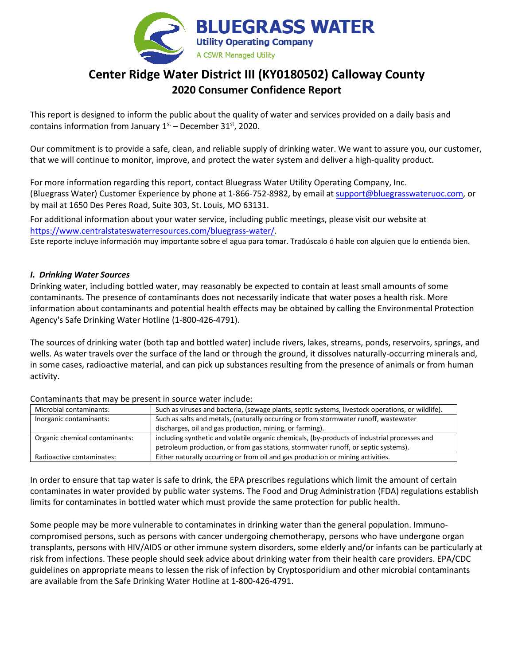

# **Center Ridge Water District III (KY0180502) Calloway County 2020 Consumer Confidence Report**

This report is designed to inform the public about the quality of water and services provided on a daily basis and contains information from January  $1<sup>st</sup>$  – December 31 $<sup>st</sup>$ , 2020.</sup>

Our commitment is to provide a safe, clean, and reliable supply of drinking water. We want to assure you, our customer, that we will continue to monitor, improve, and protect the water system and deliver a high-quality product.

For more information regarding this report, contact Bluegrass Water Utility Operating Company, Inc. (Bluegrass Water) Customer Experience by phone at 1-866-752-8982, by email at [support@bluegrasswateruoc.com,](mailto:support@bluegrasswateruoc.com) or by mail at 1650 Des Peres Road, Suite 303, St. Louis, MO 63131.

For additional information about your water service, including public meetings, please visit our website at [https://www.centralstateswaterresources.com/bluegrass-water/.](https://www.centralstateswaterresources.com/bluegrass-water/)

Este reporte incluye información muy importante sobre el agua para tomar. Tradúscalo ó hable con alguien que lo entienda bien.

#### *I. Drinking Water Sources*

Drinking water, including bottled water, may reasonably be expected to contain at least small amounts of some contaminants. The presence of contaminants does not necessarily indicate that water poses a health risk. More information about contaminants and potential health effects may be obtained by calling the Environmental Protection Agency's Safe Drinking Water Hotline (1-800-426-4791).

The sources of drinking water (both tap and bottled water) include rivers, lakes, streams, ponds, reservoirs, springs, and wells. As water travels over the surface of the land or through the ground, it dissolves naturally-occurring minerals and, in some cases, radioactive material, and can pick up substances resulting from the presence of animals or from human activity.

| Microbial contaminants:        | Such as viruses and bacteria, (sewage plants, septic systems, livestock operations, or wildlife). |  |  |  |
|--------------------------------|---------------------------------------------------------------------------------------------------|--|--|--|
| Inorganic contaminants:        | Such as salts and metals, (naturally occurring or from stormwater runoff, wastewater              |  |  |  |
|                                | discharges, oil and gas production, mining, or farming).                                          |  |  |  |
| Organic chemical contaminants: | including synthetic and volatile organic chemicals, (by-products of industrial processes and      |  |  |  |
|                                | petroleum production, or from gas stations, stormwater runoff, or septic systems).                |  |  |  |
| Radioactive contaminates:      | Either naturally occurring or from oil and gas production or mining activities.                   |  |  |  |

#### Contaminants that may be present in source water include:

In order to ensure that tap water is safe to drink, the EPA prescribes regulations which limit the amount of certain contaminates in water provided by public water systems. The Food and Drug Administration (FDA) regulations establish limits for contaminates in bottled water which must provide the same protection for public health.

Some people may be more vulnerable to contaminates in drinking water than the general population. Immunocompromised persons, such as persons with cancer undergoing chemotherapy, persons who have undergone organ transplants, persons with HIV/AIDS or other immune system disorders, some elderly and/or infants can be particularly at risk from infections. These people should seek advice about drinking water from their health care providers. EPA/CDC guidelines on appropriate means to lessen the risk of infection by Cryptosporidium and other microbial contaminants are available from the Safe Drinking Water Hotline at 1-800-426-4791.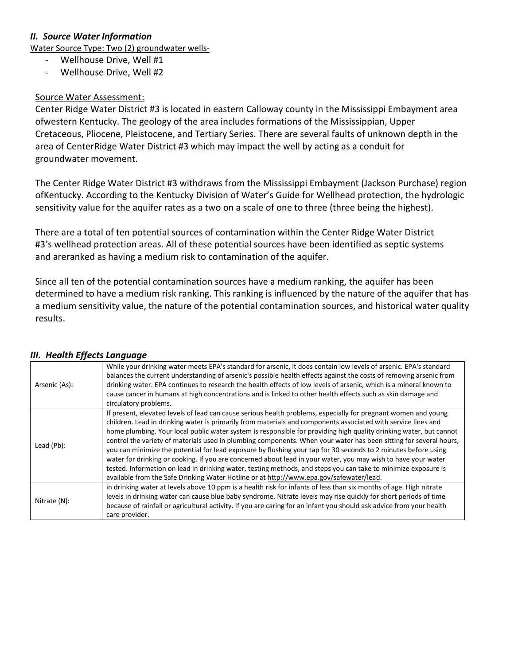# *II. Source Water Information*

Water Source Type: Two (2) groundwater wells-

- Wellhouse Drive, Well #1
- Wellhouse Drive, Well #2

## Source Water Assessment:

Center Ridge Water District #3 is located in eastern Calloway county in the Mississippi Embayment area ofwestern Kentucky. The geology of the area includes formations of the Mississippian, Upper Cretaceous, Pliocene, Pleistocene, and Tertiary Series. There are several faults of unknown depth in the area of CenterRidge Water District #3 which may impact the well by acting as a conduit for groundwater movement.

The Center Ridge Water District #3 withdraws from the Mississippi Embayment (Jackson Purchase) region ofKentucky. According to the Kentucky Division of Water's Guide for Wellhead protection, the hydrologic sensitivity value for the aquifer rates as a two on a scale of one to three (three being the highest).

There are a total of ten potential sources of contamination within the Center Ridge Water District #3's wellhead protection areas. All of these potential sources have been identified as septic systems and areranked as having a medium risk to contamination of the aquifer.

Since all ten of the potential contamination sources have a medium ranking, the aquifer has been determined to have a medium risk ranking. This ranking is influenced by the nature of the aquifer that has a medium sensitivity value, the nature of the potential contamination sources, and historical water quality results.

| Arsenic (As): | While your drinking water meets EPA's standard for arsenic, it does contain low levels of arsenic. EPA's standard<br>balances the current understanding of arsenic's possible health effects against the costs of removing arsenic from<br>drinking water. EPA continues to research the health effects of low levels of arsenic, which is a mineral known to<br>cause cancer in humans at high concentrations and is linked to other health effects such as skin damage and<br>circulatory problems.                                                                                                                                                                                                                                                                                                                                                                                                                      |
|---------------|----------------------------------------------------------------------------------------------------------------------------------------------------------------------------------------------------------------------------------------------------------------------------------------------------------------------------------------------------------------------------------------------------------------------------------------------------------------------------------------------------------------------------------------------------------------------------------------------------------------------------------------------------------------------------------------------------------------------------------------------------------------------------------------------------------------------------------------------------------------------------------------------------------------------------|
| Lead (Pb):    | If present, elevated levels of lead can cause serious health problems, especially for pregnant women and young<br>children. Lead in drinking water is primarily from materials and components associated with service lines and<br>home plumbing. Your local public water system is responsible for providing high quality drinking water, but cannot<br>control the variety of materials used in plumbing components. When your water has been sitting for several hours,<br>you can minimize the potential for lead exposure by flushing your tap for 30 seconds to 2 minutes before using<br>water for drinking or cooking. If you are concerned about lead in your water, you may wish to have your water<br>tested. Information on lead in drinking water, testing methods, and steps you can take to minimize exposure is<br>available from the Safe Drinking Water Hotline or at http://www.epa.gov/safewater/lead. |
| Nitrate (N):  | in drinking water at levels above 10 ppm is a health risk for infants of less than six months of age. High nitrate<br>levels in drinking water can cause blue baby syndrome. Nitrate levels may rise quickly for short periods of time<br>because of rainfall or agricultural activity. If you are caring for an infant you should ask advice from your health<br>care provider.                                                                                                                                                                                                                                                                                                                                                                                                                                                                                                                                           |

#### *III. Health Effects Language*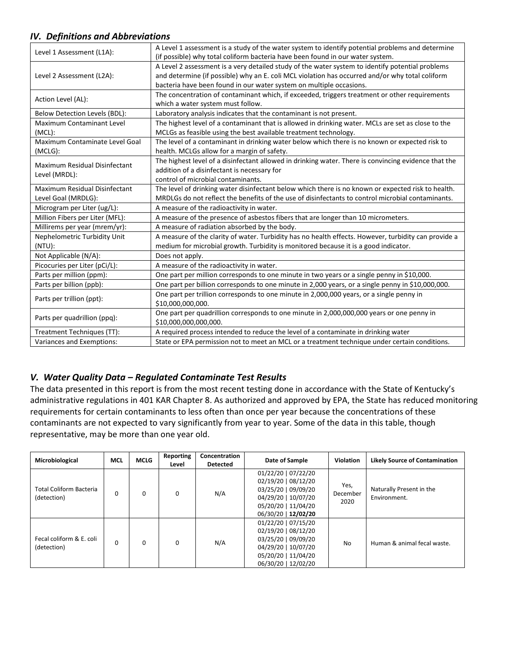## *IV. Definitions and Abbreviations*

| Level 1 Assessment (L1A):       | A Level 1 assessment is a study of the water system to identify potential problems and determine     |  |  |  |  |  |
|---------------------------------|------------------------------------------------------------------------------------------------------|--|--|--|--|--|
|                                 | (if possible) why total coliform bacteria have been found in our water system.                       |  |  |  |  |  |
|                                 | A Level 2 assessment is a very detailed study of the water system to identify potential problems     |  |  |  |  |  |
| Level 2 Assessment (L2A):       | and determine (if possible) why an E. coli MCL violation has occurred and/or why total coliform      |  |  |  |  |  |
|                                 | bacteria have been found in our water system on multiple occasions.                                  |  |  |  |  |  |
| Action Level (AL):              | The concentration of contaminant which, if exceeded, triggers treatment or other requirements        |  |  |  |  |  |
|                                 | which a water system must follow.                                                                    |  |  |  |  |  |
| Below Detection Levels (BDL):   | Laboratory analysis indicates that the contaminant is not present.                                   |  |  |  |  |  |
| Maximum Contaminant Level       | The highest level of a contaminant that is allowed in drinking water. MCLs are set as close to the   |  |  |  |  |  |
| (MCL):                          | MCLGs as feasible using the best available treatment technology.                                     |  |  |  |  |  |
| Maximum Contaminate Level Goal  | The level of a contaminant in drinking water below which there is no known or expected risk to       |  |  |  |  |  |
| (MCLG):                         | health. MCLGs allow for a margin of safety.                                                          |  |  |  |  |  |
| Maximum Residual Disinfectant   | The highest level of a disinfectant allowed in drinking water. There is convincing evidence that the |  |  |  |  |  |
|                                 | addition of a disinfectant is necessary for                                                          |  |  |  |  |  |
| Level (MRDL):                   | control of microbial contaminants.                                                                   |  |  |  |  |  |
| Maximum Residual Disinfectant   | The level of drinking water disinfectant below which there is no known or expected risk to health.   |  |  |  |  |  |
| Level Goal (MRDLG):             | MRDLGs do not reflect the benefits of the use of disinfectants to control microbial contaminants.    |  |  |  |  |  |
| Microgram per Liter (ug/L):     | A measure of the radioactivity in water.                                                             |  |  |  |  |  |
| Million Fibers per Liter (MFL): | A measure of the presence of asbestos fibers that are longer than 10 micrometers.                    |  |  |  |  |  |
| Millirems per year (mrem/yr):   | A measure of radiation absorbed by the body.                                                         |  |  |  |  |  |
| Nephelometric Turbidity Unit    | A measure of the clarity of water. Turbidity has no health effects. However, turbidity can provide a |  |  |  |  |  |
| $(NTU)$ :                       | medium for microbial growth. Turbidity is monitored because it is a good indicator.                  |  |  |  |  |  |
| Not Applicable (N/A):           | Does not apply.                                                                                      |  |  |  |  |  |
| Picocuries per Liter (pCi/L):   | A measure of the radioactivity in water.                                                             |  |  |  |  |  |
| Parts per million (ppm):        | One part per million corresponds to one minute in two years or a single penny in \$10,000.           |  |  |  |  |  |
| Parts per billion (ppb):        | One part per billion corresponds to one minute in 2,000 years, or a single penny in \$10,000,000.    |  |  |  |  |  |
|                                 | One part per trillion corresponds to one minute in 2,000,000 years, or a single penny in             |  |  |  |  |  |
| Parts per trillion (ppt):       | \$10,000,000,000.                                                                                    |  |  |  |  |  |
|                                 | One part per quadrillion corresponds to one minute in 2,000,000,000 years or one penny in            |  |  |  |  |  |
| Parts per quadrillion (ppq):    | \$10,000,000,000,000.                                                                                |  |  |  |  |  |
| Treatment Techniques (TT):      | A required process intended to reduce the level of a contaminate in drinking water                   |  |  |  |  |  |
| Variances and Exemptions:       | State or EPA permission not to meet an MCL or a treatment technique under certain conditions.        |  |  |  |  |  |

#### *V. Water Quality Data – Regulated Contaminate Test Results*

The data presented in this report is from the most recent testing done in accordance with the State of Kentucky's administrative regulations in 401 KAR Chapter 8. As authorized and approved by EPA, the State has reduced monitoring requirements for certain contaminants to less often than once per year because the concentrations of these contaminants are not expected to vary significantly from year to year. Some of the data in this table, though representative, may be more than one year old.

| Microbiological                               | MCL | <b>MCLG</b> | Reporting<br>Level | Concentration<br><b>Detected</b> | Date of Sample                                                                                                                         | <b>Violation</b>         | <b>Likely Source of Contamination</b>    |
|-----------------------------------------------|-----|-------------|--------------------|----------------------------------|----------------------------------------------------------------------------------------------------------------------------------------|--------------------------|------------------------------------------|
| <b>Total Coliform Bacteria</b><br>(detection) | 0   | $\Omega$    | 0                  | N/A                              | 01/22/20   07/22/20<br>02/19/20   08/12/20<br>03/25/20   09/09/20<br>04/29/20   10/07/20<br>05/20/20   11/04/20<br>06/30/20   12/02/20 | Yes,<br>December<br>2020 | Naturally Present in the<br>Environment. |
| Fecal coliform & E. coli<br>(detection)       |     | 0           | $\Omega$           | N/A                              | 01/22/20   07/15/20<br>02/19/20   08/12/20<br>03/25/20   09/09/20<br>04/29/20   10/07/20<br>05/20/20   11/04/20<br>06/30/20   12/02/20 | <b>No</b>                | Human & animal fecal waste.              |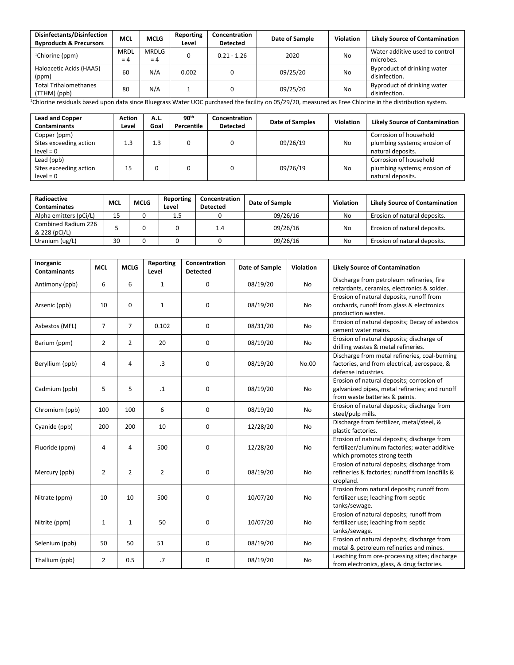| Disinfectants/Disinfection<br><b>Byproducts &amp; Precursors</b> | <b>MCL</b>           | <b>MCLG</b>    | Reporting<br>Level | Concentration<br><b>Detected</b> | Date of Sample | Violation | <b>Likely Source of Contamination</b>        |
|------------------------------------------------------------------|----------------------|----------------|--------------------|----------------------------------|----------------|-----------|----------------------------------------------|
| <sup>1</sup> Chlorine (ppm)                                      | <b>MRDL</b><br>$= 4$ | MRDLG<br>$= 4$ |                    | $0.21 - 1.26$                    | 2020           | No        | Water additive used to control<br>microbes.  |
| Haloacetic Acids (HAA5)<br>(ppm)                                 | 60                   | N/A            | 0.002              |                                  | 09/25/20       | No        | Byproduct of drinking water<br>disinfection. |
| <b>Total Trihalomethanes</b><br>(TTHM) (ppb)                     | 80                   | N/A            |                    |                                  | 09/25/20       | No        | Byproduct of drinking water<br>disinfection. |

<sup>1</sup>Chlorine residuals based upon data since Bluegrass Water UOC purchased the facility on 05/29/20, measured as Free Chlorine in the distribution system.

| <b>Lead and Copper</b><br><b>Contaminants</b>         | <b>Action</b><br>Level | A.L.<br>Goal | 90 <sup>th</sup><br>Percentile | Concentration<br><b>Detected</b> | Date of Samples | Violation | <b>Likely Source of Contamination</b>                                       |
|-------------------------------------------------------|------------------------|--------------|--------------------------------|----------------------------------|-----------------|-----------|-----------------------------------------------------------------------------|
| Copper (ppm)<br>Sites exceeding action<br>$level = 0$ | 1.3                    | 1.3          |                                |                                  | 09/26/19        | <b>No</b> | Corrosion of household<br>plumbing systems; erosion of<br>natural deposits. |
| Lead (ppb)<br>Sites exceeding action<br>$level = 0$   | 15                     |              |                                |                                  | 09/26/19        | No        | Corrosion of household<br>plumbing systems; erosion of<br>natural deposits. |

| Radioactive<br><b>Contaminates</b>   | <b>MCL</b> | <b>MCLG</b> | Reporting<br>Level | Concentration<br><b>Detected</b> | Date of Sample |    | <b>Likely Source of Contamination</b> |
|--------------------------------------|------------|-------------|--------------------|----------------------------------|----------------|----|---------------------------------------|
| Alpha emitters (pCi/L)               | 15         |             | 1.5                |                                  | 09/26/16       | No | Erosion of natural deposits.          |
| Combined Radium 226<br>& 228 (pCi/L) |            |             |                    | 1.4                              | 09/26/16       | No | Erosion of natural deposits.          |
| Uranium (ug/L)                       | 30         |             |                    |                                  | 09/26/16       | No | Erosion of natural deposits.          |

| Inorganic<br><b>Contaminants</b> | <b>MCL</b>     | <b>MCLG</b>    | Reporting<br>Level | Concentration<br><b>Detected</b> | Date of Sample | Violation | <b>Likely Source of Contamination</b>                                                                                         |
|----------------------------------|----------------|----------------|--------------------|----------------------------------|----------------|-----------|-------------------------------------------------------------------------------------------------------------------------------|
| Antimony (ppb)                   | 6              | 6              | $\mathbf{1}$       | 0                                | 08/19/20       | No        | Discharge from petroleum refineries, fire<br>retardants, ceramics, electronics & solder.                                      |
| Arsenic (ppb)                    | 10             | $\Omega$       | $\mathbf{1}$       | $\Omega$                         | 08/19/20       | No        | Erosion of natural deposits, runoff from<br>orchards, runoff from glass & electronics<br>production wastes.                   |
| Asbestos (MFL)                   | $\overline{7}$ | $\overline{7}$ | 0.102              | 0                                | 08/31/20       | <b>No</b> | Erosion of natural deposits; Decay of asbestos<br>cement water mains.                                                         |
| Barium (ppm)                     | $\overline{2}$ | $\overline{2}$ | 20                 | 0                                | 08/19/20       | No        | Erosion of natural deposits; discharge of<br>drilling wastes & metal refineries.                                              |
| Beryllium (ppb)                  | 4              | 4              | $\cdot$ 3          | 0                                | 08/19/20       | No.00     | Discharge from metal refineries, coal-burning<br>factories, and from electrical, aerospace, &<br>defense industries.          |
| Cadmium (ppb)                    | 5              | 5              | $\cdot$ 1          | 0                                | 08/19/20       | No        | Erosion of natural deposits; corrosion of<br>galvanized pipes, metal refineries; and runoff<br>from waste batteries & paints. |
| Chromium (ppb)                   | 100            | 100            | 6                  | $\mathbf 0$                      | 08/19/20       | No        | Erosion of natural deposits; discharge from<br>steel/pulp mills.                                                              |
| Cyanide (ppb)                    | 200            | 200            | 10                 | 0                                | 12/28/20       | No        | Discharge from fertilizer, metal/steel, &<br>plastic factories.                                                               |
| Fluoride (ppm)                   | 4              | 4              | 500                | 0                                | 12/28/20       | No        | Erosion of natural deposits; discharge from<br>fertilizer/aluminum factories; water additive<br>which promotes strong teeth   |
| Mercury (ppb)                    | $\overline{2}$ | $\overline{2}$ | $\overline{2}$     | 0                                | 08/19/20       | No        | Erosion of natural deposits; discharge from<br>refineries & factories; runoff from landfills &<br>cropland.                   |
| Nitrate (ppm)                    | 10             | 10             | 500                | 0                                | 10/07/20       | No        | Erosion from natural deposits; runoff from<br>fertilizer use; leaching from septic<br>tanks/sewage.                           |
| Nitrite (ppm)                    | $\mathbf{1}$   | $\mathbf{1}$   | 50                 | 0                                | 10/07/20       | No        | Erosion of natural deposits; runoff from<br>fertilizer use; leaching from septic<br>tanks/sewage.                             |
| Selenium (ppb)                   | 50             | 50             | 51                 | 0                                | 08/19/20       | No        | Erosion of natural deposits; discharge from<br>metal & petroleum refineries and mines.                                        |
| Thallium (ppb)                   | $\overline{2}$ | 0.5            | .7                 | 0                                | 08/19/20       | No        | Leaching from ore-processing sites; discharge<br>from electronics, glass, & drug factories.                                   |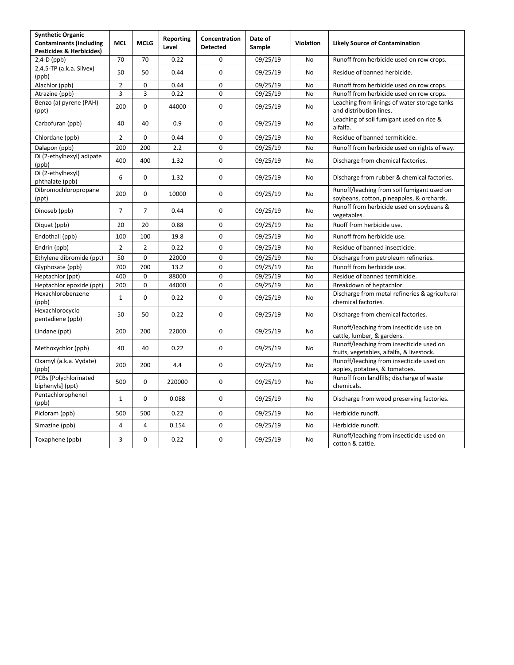| <b>Synthetic Organic</b><br><b>Contaminants (including</b> | <b>MCL</b>     | <b>MCLG</b>    | Reporting<br>Level | Concentration<br><b>Detected</b> | Date of<br>Sample | Violation | <b>Likely Source of Contamination</b>                                                   |
|------------------------------------------------------------|----------------|----------------|--------------------|----------------------------------|-------------------|-----------|-----------------------------------------------------------------------------------------|
| <b>Pesticides &amp; Herbicides)</b>                        | 70             | 70             | 0.22               | 0                                |                   |           |                                                                                         |
| $2,4-D$ (ppb)<br>2,4,5-TP (a.k.a. Silvex)                  |                |                |                    |                                  | 09/25/19          | No        | Runoff from herbicide used on row crops.                                                |
| (ppb)                                                      | 50             | 50             | 0.44               | $\mathbf 0$                      | 09/25/19          | <b>No</b> | Residue of banned herbicide.                                                            |
| Alachlor (ppb)                                             | $\overline{2}$ | 0              | 0.44               | 0                                | 09/25/19          | No        | Runoff from herbicide used on row crops.                                                |
| Atrazine (ppb)                                             | 3              | 3              | 0.22               | 0                                | 09/25/19          | No        | Runoff from herbicide used on row crops.                                                |
| Benzo (a) pyrene (PAH)<br>(ppt)                            | 200            | 0              | 44000              | 0                                | 09/25/19          | No        | Leaching from linings of water storage tanks<br>and distribution lines.                 |
| Carbofuran (ppb)                                           | 40             | 40             | 0.9                | $\mathbf 0$                      | 09/25/19          | No        | Leaching of soil fumigant used on rice &<br>alfalfa.                                    |
| Chlordane (ppb)                                            | $\overline{2}$ | $\mathbf 0$    | 0.44               | 0                                | 09/25/19          | No        | Residue of banned termiticide.                                                          |
| Dalapon (ppb)                                              | 200            | 200            | 2.2                | $\mathbf 0$                      | 09/25/19          | No        | Runoff from herbicide used on rights of way.                                            |
| Di (2-ethylhexyl) adipate<br>(ppb)                         | 400            | 400            | 1.32               | 0                                | 09/25/19          | No        | Discharge from chemical factories.                                                      |
| Di (2-ethylhexyl)<br>phthalate (ppb)                       | 6              | $\mathbf 0$    | 1.32               | $\mathbf 0$                      | 09/25/19          | No.       | Discharge from rubber & chemical factories.                                             |
| Dibromochloropropane<br>(ppt)                              | 200            | $\mathbf 0$    | 10000              | 0                                | 09/25/19          | No        | Runoff/leaching from soil fumigant used on<br>soybeans, cotton, pineapples, & orchards. |
| Dinoseb (ppb)                                              | $\overline{7}$ | $\overline{7}$ | 0.44               | $\mathbf 0$                      | 09/25/19          | No.       | Runoff from herbicide used on soybeans &<br>vegetables.                                 |
| Diquat (ppb)                                               | 20             | 20             | 0.88               | $\mathbf 0$                      | 09/25/19          | No        | Ruoff from herbicide use.                                                               |
| Endothall (ppb)                                            | 100            | 100            | 19.8               | 0                                | 09/25/19          | No.       | Runoff from herbicide use.                                                              |
| Endrin (ppb)                                               | $\overline{2}$ | $\overline{2}$ | 0.22               | $\pmb{0}$                        | 09/25/19          | No        | Residue of banned insecticide.                                                          |
| Ethylene dibromide (ppt)                                   | 50             | $\pmb{0}$      | 22000              | $\mathbf 0$                      | 09/25/19          | No        | Discharge from petroleum refineries.                                                    |
| Glyphosate (ppb)                                           | 700            | 700            | 13.2               | $\mathbf 0$                      | 09/25/19          | No        | Runoff from herbicide use.                                                              |
| Heptachlor (ppt)                                           | 400            | $\mathbf 0$    | 88000              | $\mathbf 0$                      | 09/25/19          | No        | Residue of banned termiticide.                                                          |
| Heptachlor epoxide (ppt)                                   | 200            | $\mathbf 0$    | 44000              | $\mathbf 0$                      | 09/25/19          | No        | Breakdown of heptachlor.                                                                |
| Hexachlorobenzene<br>(ppb)                                 | $\mathbf{1}$   | $\mathbf 0$    | 0.22               | $\mathbf 0$                      | 09/25/19          | No.       | Discharge from metal refineries & agricultural<br>chemical factories.                   |
| Hexachlorocyclo<br>pentadiene (ppb)                        | 50             | 50             | 0.22               | $\mathbf 0$                      | 09/25/19          | No.       | Discharge from chemical factories.                                                      |
| Lindane (ppt)                                              | 200            | 200            | 22000              | $\mathbf 0$                      | 09/25/19          | <b>No</b> | Runoff/leaching from insecticide use on<br>cattle, lumber, & gardens.                   |
| Methoxychlor (ppb)                                         | 40             | 40             | 0.22               | $\mathbf 0$                      | 09/25/19          | No.       | Runoff/leaching from insecticide used on<br>fruits, vegetables, alfalfa, & livestock.   |
| Oxamyl (a.k.a. Vydate)<br>(ppb)                            | 200            | 200            | 4.4                | 0                                | 09/25/19          | <b>No</b> | Runoff/leaching from insecticide used on<br>apples, potatoes, & tomatoes.               |
| PCBs [Polychlorinated<br>biphenyls] (ppt)                  | 500            | $\mathbf 0$    | 220000             | $\mathbf 0$                      | 09/25/19          | No.       | Runoff from landfills; discharge of waste<br>chemicals.                                 |
| Pentachlorophenol<br>(ppb)                                 | $\mathbf{1}$   | $\Omega$       | 0.088              | $\mathbf 0$                      | 09/25/19          | No        | Discharge from wood preserving factories.                                               |
| Picloram (ppb)                                             | 500            | 500            | 0.22               | 0                                | 09/25/19          | No        | Herbicide runoff.                                                                       |
| Simazine (ppb)                                             | $\overline{4}$ | $\overline{4}$ | 0.154              | $\mathbf 0$                      | 09/25/19          | No        | Herbicide runoff.                                                                       |
| Toxaphene (ppb)                                            | 3              | 0              | 0.22               | 0                                | 09/25/19          | No        | Runoff/leaching from insecticide used on<br>cotton & cattle.                            |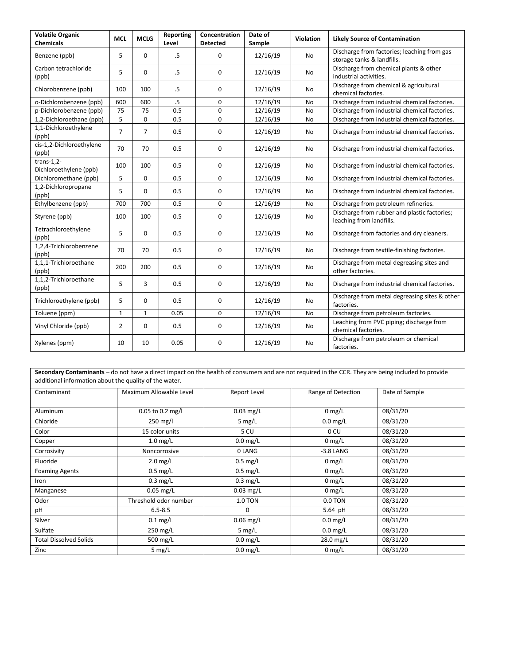| <b>Volatile Organic</b><br><b>Chemicals</b> | <b>MCL</b>     | <b>MCLG</b>    | Reporting<br>Level | Concentration<br><b>Detected</b> | Date of<br>Sample | <b>Violation</b> | <b>Likely Source of Contamination</b>                                     |
|---------------------------------------------|----------------|----------------|--------------------|----------------------------------|-------------------|------------------|---------------------------------------------------------------------------|
| Benzene (ppb)                               | 5              | 0              | .5                 | $\mathbf 0$                      | 12/16/19          | No               | Discharge from factories; leaching from gas<br>storage tanks & landfills. |
| Carbon tetrachloride<br>(ppb)               | 5              | $\Omega$       | .5                 | 0                                | 12/16/19          | No               | Discharge from chemical plants & other<br>industrial activities.          |
| Chlorobenzene (ppb)                         | 100            | 100            | .5                 | 0                                | 12/16/19          | No               | Discharge from chemical & agricultural<br>chemical factories.             |
| o-Dichlorobenzene (ppb)                     | 600            | 600            | .5                 | $\mathbf 0$                      | 12/16/19          | <b>No</b>        | Discharge from industrial chemical factories.                             |
| p-Dichlorobenzene (ppb)                     | 75             | 75             | 0.5                | 0                                | 12/16/19          | No               | Discharge from industrial chemical factories.                             |
| 1,2-Dichloroethane (ppb)                    | 5              | 0              | 0.5                | $\mathbf 0$                      | 12/16/19          | No               | Discharge from industrial chemical factories.                             |
| 1,1-Dichloroethylene<br>(ppb)               | $\overline{7}$ | $\overline{7}$ | 0.5                | 0                                | 12/16/19          | No               | Discharge from industrial chemical factories.                             |
| cis-1,2-Dichloroethylene<br>(ppb)           | 70             | 70             | 0.5                | $\mathbf 0$                      | 12/16/19          | No               | Discharge from industrial chemical factories.                             |
| $trans-1,2-$<br>Dichloroethylene (ppb)      | 100            | 100            | 0.5                | $\mathbf 0$                      | 12/16/19          | No               | Discharge from industrial chemical factories.                             |
| Dichloromethane (ppb)                       | 5              | 0              | 0.5                | $\mathbf 0$                      | 12/16/19          | <b>No</b>        | Discharge from industrial chemical factories.                             |
| 1,2-Dichloropropane<br>(ppb)                | 5              | 0              | 0.5                | 0                                | 12/16/19          | No               | Discharge from industrial chemical factories.                             |
| Ethylbenzene (ppb)                          | 700            | 700            | 0.5                | $\mathbf 0$                      | 12/16/19          | No               | Discharge from petroleum refineries.                                      |
| Styrene (ppb)                               | 100            | 100            | 0.5                | 0                                | 12/16/19          | No               | Discharge from rubber and plastic factories;<br>leaching from landfills.  |
| Tetrachloroethylene<br>(ppb)                | 5              | 0              | 0.5                | $\mathbf 0$                      | 12/16/19          | No               | Discharge from factories and dry cleaners.                                |
| 1,2,4-Trichlorobenzene<br>(ppb)             | 70             | 70             | 0.5                | $\mathbf 0$                      | 12/16/19          | No               | Discharge from textile-finishing factories.                               |
| 1,1,1-Trichloroethane<br>(ppb)              | 200            | 200            | 0.5                | 0                                | 12/16/19          | No               | Discharge from metal degreasing sites and<br>other factories.             |
| 1,1,2-Trichloroethane<br>(ppb)              | 5              | 3              | 0.5                | 0                                | 12/16/19          | No               | Discharge from industrial chemical factories.                             |
| Trichloroethylene (ppb)                     | 5              | 0              | 0.5                | 0                                | 12/16/19          | No               | Discharge from metal degreasing sites & other<br>factories.               |
| Toluene (ppm)                               | $\mathbf{1}$   | $\mathbf{1}$   | 0.05               | $\mathbf 0$                      | 12/16/19          | <b>No</b>        | Discharge from petroleum factories.                                       |
| Vinyl Chloride (ppb)                        | 2              | 0              | 0.5                | 0                                | 12/16/19          | No               | Leaching from PVC piping; discharge from<br>chemical factories.           |
| Xylenes (ppm)                               | 10             | 10             | 0.05               | 0                                | 12/16/19          | No               | Discharge from petroleum or chemical<br>factories.                        |

**Secondary Contaminants** – do not have a direct impact on the health of consumers and are not required in the CCR. They are being included to provide additional information about the quality of the water.

| Contaminant                   | Maximum Allowable Level | Report Level   | Range of Detection | Date of Sample |
|-------------------------------|-------------------------|----------------|--------------------|----------------|
|                               |                         |                |                    |                |
| Aluminum                      | 0.05 to 0.2 mg/l        | $0.03$ mg/L    | $0$ mg/L           | 08/31/20       |
| Chloride                      | $250 \text{ mg/l}$      | 5 $mg/L$       | $0.0$ mg/L         | 08/31/20       |
| Color                         | 15 color units          | 5 CU           | 0 CU               | 08/31/20       |
| Copper                        | $1.0$ mg/L              | $0.0$ mg/L     | $0 \, mg/L$        | 08/31/20       |
| Corrosivity                   | Noncorrosive            | 0 LANG         | $-3.8$ LANG        | 08/31/20       |
| Fluoride                      | $2.0$ mg/L              | $0.5$ mg/L     | $0$ mg/L           | 08/31/20       |
| <b>Foaming Agents</b>         | $0.5$ mg/L              | $0.5$ mg/L     | $0$ mg/L           | 08/31/20       |
| Iron                          | $0.3$ mg/L              | $0.3$ mg/L     | $0$ mg/L           | 08/31/20       |
| Manganese                     | $0.05$ mg/L             | $0.03$ mg/L    | $0$ mg/L           | 08/31/20       |
| Odor                          | Threshold odor number   | <b>1.0 TON</b> | 0.0 TON            | 08/31/20       |
| pH                            | $6.5 - 8.5$             | 0              | 5.64 pH            | 08/31/20       |
| Silver                        | $0.1$ mg/L              | $0.06$ mg/L    | $0.0$ mg/L         | 08/31/20       |
| Sulfate                       | 250 mg/L                | 5 $mg/L$       | $0.0$ mg/L         | 08/31/20       |
| <b>Total Dissolved Solids</b> | 500 mg/L                | $0.0$ mg/L     | 28.0 mg/L          | 08/31/20       |
| Zinc                          | 5 $mg/L$                | $0.0$ mg/L     | $0$ mg/L           | 08/31/20       |